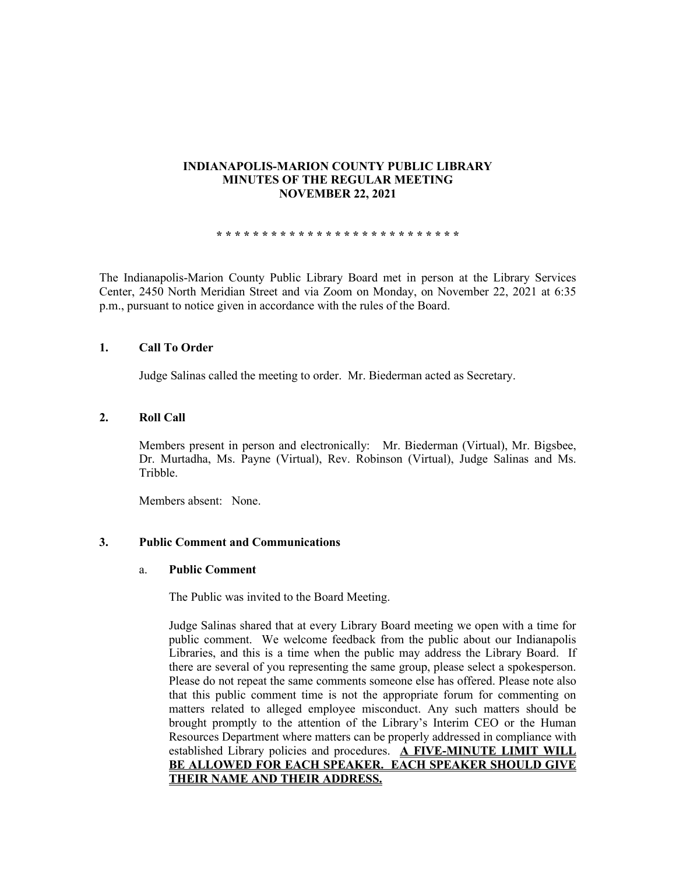# **INDIANAPOLIS-MARION COUNTY PUBLIC LIBRARY MINUTES OF THE REGULAR MEETING NOVEMBER 22, 2021**

**\* \* \* \* \* \* \* \* \* \* \* \* \* \* \* \* \* \* \* \* \* \* \* \* \* \* \***

The Indianapolis-Marion County Public Library Board met in person at the Library Services Center, 2450 North Meridian Street and via Zoom on Monday, on November 22, 2021 at 6:35 p.m., pursuant to notice given in accordance with the rules of the Board.

## **1. Call To Order**

Judge Salinas called the meeting to order. Mr. Biederman acted as Secretary.

### **2. Roll Call**

Members present in person and electronically: Mr. Biederman (Virtual), Mr. Bigsbee, Dr. Murtadha, Ms. Payne (Virtual), Rev. Robinson (Virtual), Judge Salinas and Ms. Tribble.

Members absent: None.

### **3. Public Comment and Communications**

#### a. **Public Comment**

The Public was invited to the Board Meeting.

Judge Salinas shared that at every Library Board meeting we open with a time for public comment. We welcome feedback from the public about our Indianapolis Libraries, and this is a time when the public may address the Library Board. If there are several of you representing the same group, please select a spokesperson. Please do not repeat the same comments someone else has offered. Please note also that this public comment time is not the appropriate forum for commenting on matters related to alleged employee misconduct. Any such matters should be brought promptly to the attention of the Library's Interim CEO or the Human Resources Department where matters can be properly addressed in compliance with established Library policies and procedures. **A FIVE-MINUTE LIMIT WILL BE ALLOWED FOR EACH SPEAKER. EACH SPEAKER SHOULD GIVE THEIR NAME AND THEIR ADDRESS.**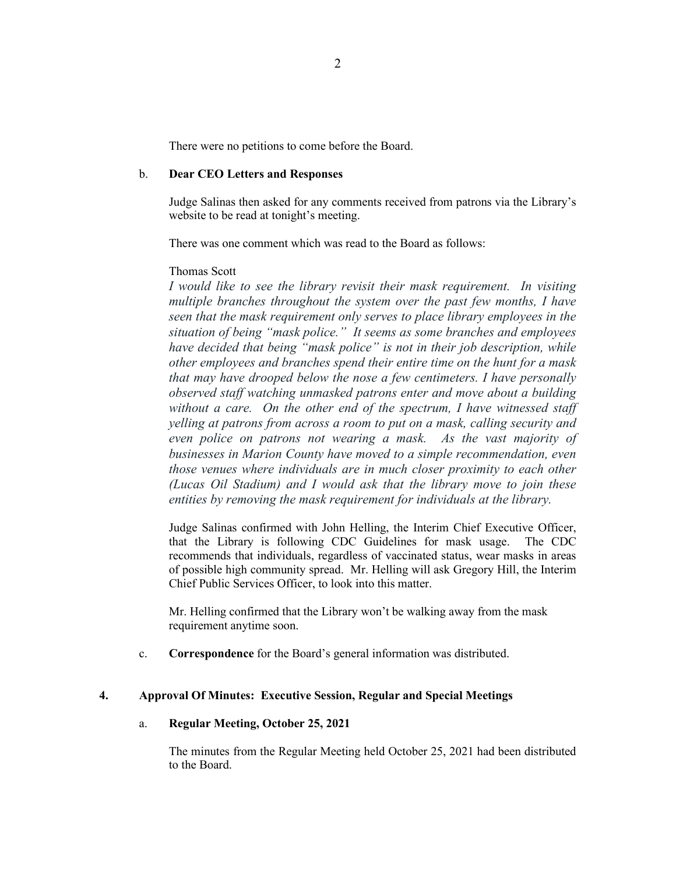There were no petitions to come before the Board.

#### b. **Dear CEO Letters and Responses**

Judge Salinas then asked for any comments received from patrons via the Library's website to be read at tonight's meeting.

There was one comment which was read to the Board as follows:

#### Thomas Scott

*I would like to see the library revisit their mask requirement. In visiting multiple branches throughout the system over the past few months, I have seen that the mask requirement only serves to place library employees in the situation of being "mask police." It seems as some branches and employees have decided that being "mask police" is not in their job description, while other employees and branches spend their entire time on the hunt for a mask that may have drooped below the nose a few centimeters. I have personally observed staff watching unmasked patrons enter and move about a building without a care. On the other end of the spectrum, I have witnessed staff yelling at patrons from across a room to put on a mask, calling security and even police on patrons not wearing a mask. As the vast majority of businesses in Marion County have moved to a simple recommendation, even those venues where individuals are in much closer proximity to each other (Lucas Oil Stadium) and I would ask that the library move to join these entities by removing the mask requirement for individuals at the library.* 

Judge Salinas confirmed with John Helling, the Interim Chief Executive Officer, that the Library is following CDC Guidelines for mask usage. The CDC recommends that individuals, regardless of vaccinated status, wear masks in areas of possible high community spread. Mr. Helling will ask Gregory Hill, the Interim Chief Public Services Officer, to look into this matter.

Mr. Helling confirmed that the Library won't be walking away from the mask requirement anytime soon.

c. **Correspondence** for the Board's general information was distributed.

### **4. Approval Of Minutes: Executive Session, Regular and Special Meetings**

### a. **Regular Meeting, October 25, 2021**

The minutes from the Regular Meeting held October 25, 2021 had been distributed to the Board.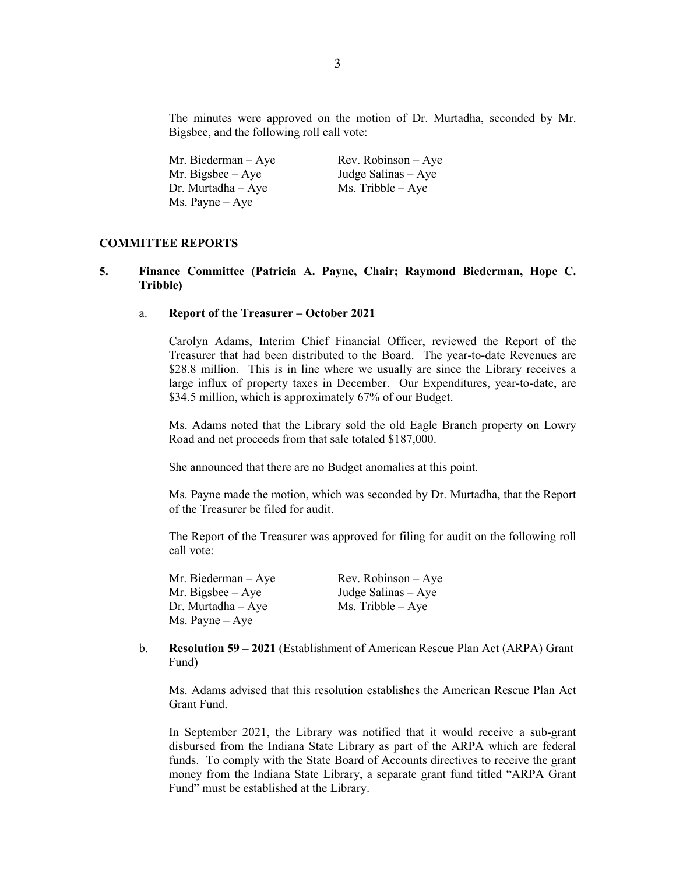The minutes were approved on the motion of Dr. Murtadha, seconded by Mr. Bigsbee, and the following roll call vote:

| Mr. Biederman $-$ Aye | $Rev. Robinson - Aye$ |
|-----------------------|-----------------------|
| Mr. Bigsbee $-$ Aye   | Judge Salinas – Aye   |
| $Dr.$ Murtadha $-Aye$ | $Ms.$ Tribble $-Aye$  |
| Ms. Payne – Aye       |                       |

## **COMMITTEE REPORTS**

### **5. Finance Committee (Patricia A. Payne, Chair; Raymond Biederman, Hope C. Tribble)**

#### a. **Report of the Treasurer – October 2021**

Carolyn Adams, Interim Chief Financial Officer, reviewed the Report of the Treasurer that had been distributed to the Board. The year-to-date Revenues are \$28.8 million. This is in line where we usually are since the Library receives a large influx of property taxes in December. Our Expenditures, year-to-date, are \$34.5 million, which is approximately 67% of our Budget.

Ms. Adams noted that the Library sold the old Eagle Branch property on Lowry Road and net proceeds from that sale totaled \$187,000.

She announced that there are no Budget anomalies at this point.

Ms. Payne made the motion, which was seconded by Dr. Murtadha, that the Report of the Treasurer be filed for audit.

The Report of the Treasurer was approved for filing for audit on the following roll call vote:

| Mr. Biederman $-$ Aye    | $Rev. Robinson - Aye$ |
|--------------------------|-----------------------|
| Mr. Bigsbee $-$ Aye      | Judge Salinas $-$ Aye |
| $Dr.$ Murtadha $-Aye$    | $Ms.$ Tribble $-$ Aye |
| $Ms. \text{Payne} - Aye$ |                       |

b. **Resolution 59 – 2021** (Establishment of American Rescue Plan Act (ARPA) Grant Fund)

Ms. Adams advised that this resolution establishes the American Rescue Plan Act Grant Fund.

In September 2021, the Library was notified that it would receive a sub-grant disbursed from the Indiana State Library as part of the ARPA which are federal funds. To comply with the State Board of Accounts directives to receive the grant money from the Indiana State Library, a separate grant fund titled "ARPA Grant Fund" must be established at the Library.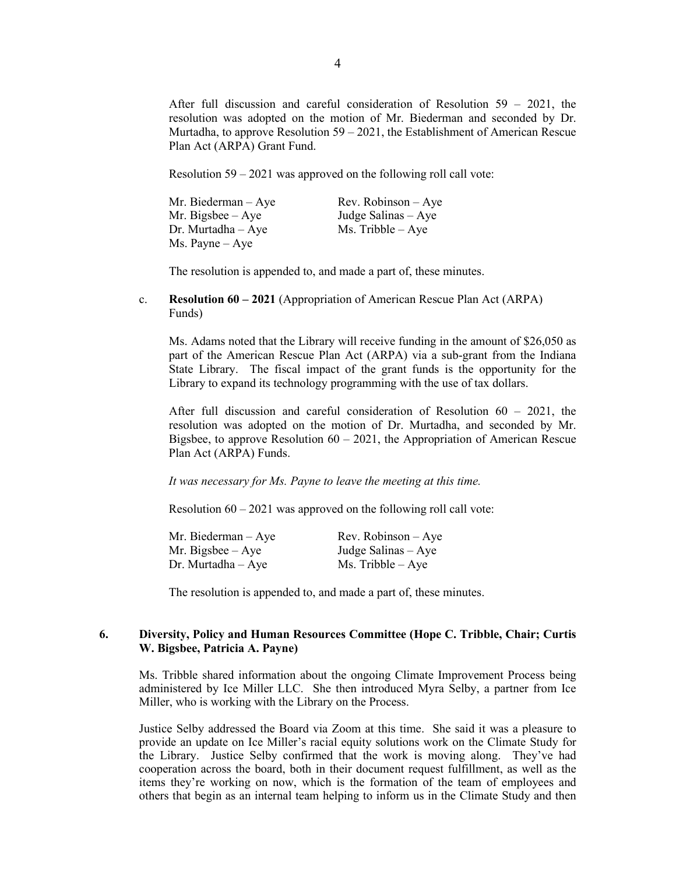After full discussion and careful consideration of Resolution 59 – 2021, the resolution was adopted on the motion of Mr. Biederman and seconded by Dr. Murtadha, to approve Resolution 59 – 2021, the Establishment of American Rescue Plan Act (ARPA) Grant Fund.

Resolution 59 – 2021 was approved on the following roll call vote:

| Mr. Biederman $-$ Aye    | Rev. Robinson $-$ Aye |
|--------------------------|-----------------------|
| Mr. Bigsbee $-$ Aye      | Judge Salinas – Aye   |
| $Dr.$ Murtadha $-$ Aye   | $Ms.$ Tribble $-$ Aye |
| $Ms. \text{Payne} - Aye$ |                       |

The resolution is appended to, and made a part of, these minutes.

c. **Resolution 60 – 2021** (Appropriation of American Rescue Plan Act (ARPA) Funds)

Ms. Adams noted that the Library will receive funding in the amount of \$26,050 as part of the American Rescue Plan Act (ARPA) via a sub-grant from the Indiana State Library. The fiscal impact of the grant funds is the opportunity for the Library to expand its technology programming with the use of tax dollars.

After full discussion and careful consideration of Resolution 60 – 2021, the resolution was adopted on the motion of Dr. Murtadha, and seconded by Mr. Bigsbee, to approve Resolution  $60 - 2021$ , the Appropriation of American Rescue Plan Act (ARPA) Funds.

*It was necessary for Ms. Payne to leave the meeting at this time.* 

Resolution 60 – 2021 was approved on the following roll call vote:

| Mr. Biederman – Aye | $Rev. Robinson - Aye$ |
|---------------------|-----------------------|
| Mr. Bigsbee $-$ Aye | Judge Salinas – Aye   |
| Dr. Murtadha – Aye  | Ms. Tribble $-$ Aye   |

The resolution is appended to, and made a part of, these minutes.

# **6. Diversity, Policy and Human Resources Committee (Hope C. Tribble, Chair; Curtis W. Bigsbee, Patricia A. Payne)**

Ms. Tribble shared information about the ongoing Climate Improvement Process being administered by Ice Miller LLC. She then introduced Myra Selby, a partner from Ice Miller, who is working with the Library on the Process.

Justice Selby addressed the Board via Zoom at this time. She said it was a pleasure to provide an update on Ice Miller's racial equity solutions work on the Climate Study for the Library. Justice Selby confirmed that the work is moving along. They've had cooperation across the board, both in their document request fulfillment, as well as the items they're working on now, which is the formation of the team of employees and others that begin as an internal team helping to inform us in the Climate Study and then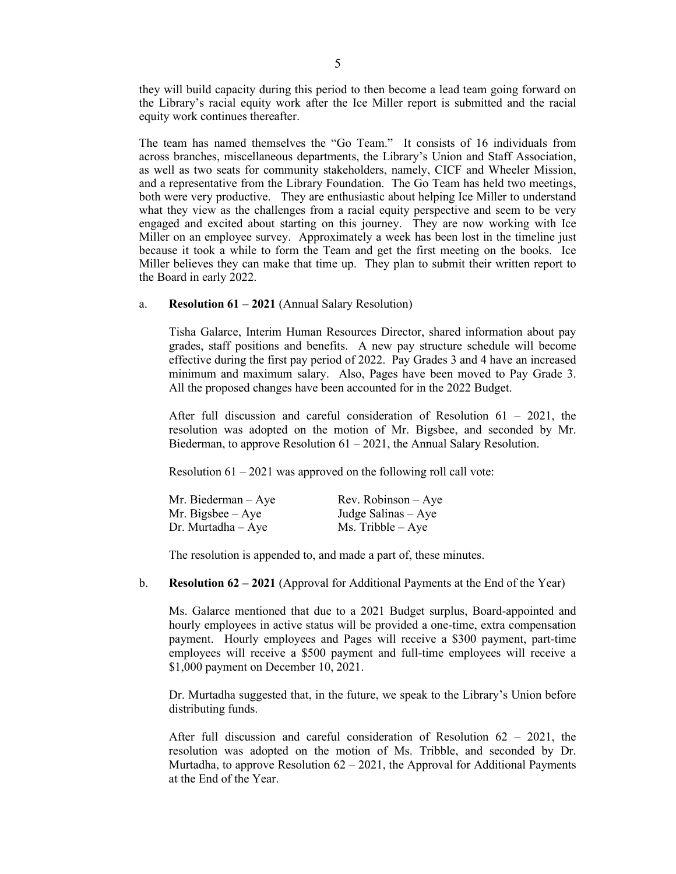they will build capacity during this period to then become a lead team going forward on the Library's racial equity work after the Ice Miller report is submitted and the racial equity work continues thereafter.

The team has named themselves the "Go Team." It consists of 16 individuals from across branches, miscellaneous departments, the Library's Union and Staff Association, as well as two seats for community stakeholders, namely, CICF and Wheeler Mission, and a representative from the Library Foundation. The Go Team has held two meetings, both were very productive. They are enthusiastic about helping Ice Miller to understand what they view as the challenges from a racial equity perspective and seem to be very engaged and excited about starting on this journey. They are now working with Ice Miller on an employee survey. Approximately a week has been lost in the timeline just because it took a while to form the Team and get the first meeting on the books. Ice Miller believes they can make that time up. They plan to submit their written report to the Board in early 2022.

## a. **Resolution 61 – 2021** (Annual Salary Resolution)

Tisha Galarce, Interim Human Resources Director, shared information about pay grades, staff positions and benefits. A new pay structure schedule will become effective during the first pay period of 2022. Pay Grades 3 and 4 have an increased minimum and maximum salary. Also, Pages have been moved to Pay Grade 3. All the proposed changes have been accounted for in the 2022 Budget.

After full discussion and careful consideration of Resolution  $61 - 2021$ , the resolution was adopted on the motion of Mr. Bigsbee, and seconded by Mr. Biederman, to approve Resolution  $61 - 2021$ , the Annual Salary Resolution.

Resolution  $61 - 2021$  was approved on the following roll call vote:

| Mr. Biederman $-$ Aye | $Rev. Robinson - Ave$ |
|-----------------------|-----------------------|
| Mr. Bigsbee $-$ Aye   | Judge Salinas – Aye   |
| $Dr.$ Murtadha $-Aye$ | $Ms.$ Tribble $-Aye$  |

The resolution is appended to, and made a part of, these minutes.

b. **Resolution 62 – 2021** (Approval for Additional Payments at the End of the Year)

Ms. Galarce mentioned that due to a 2021 Budget surplus, Board-appointed and hourly employees in active status will be provided a one-time, extra compensation payment. Hourly employees and Pages will receive a \$300 payment, part-time employees will receive a \$500 payment and full-time employees will receive a \$1,000 payment on December 10, 2021.

Dr. Murtadha suggested that, in the future, we speak to the Library's Union before distributing funds.

After full discussion and careful consideration of Resolution  $62 - 2021$ , the resolution was adopted on the motion of Ms. Tribble, and seconded by Dr. Murtadha, to approve Resolution  $62 - 2021$ , the Approval for Additional Payments at the End of the Year.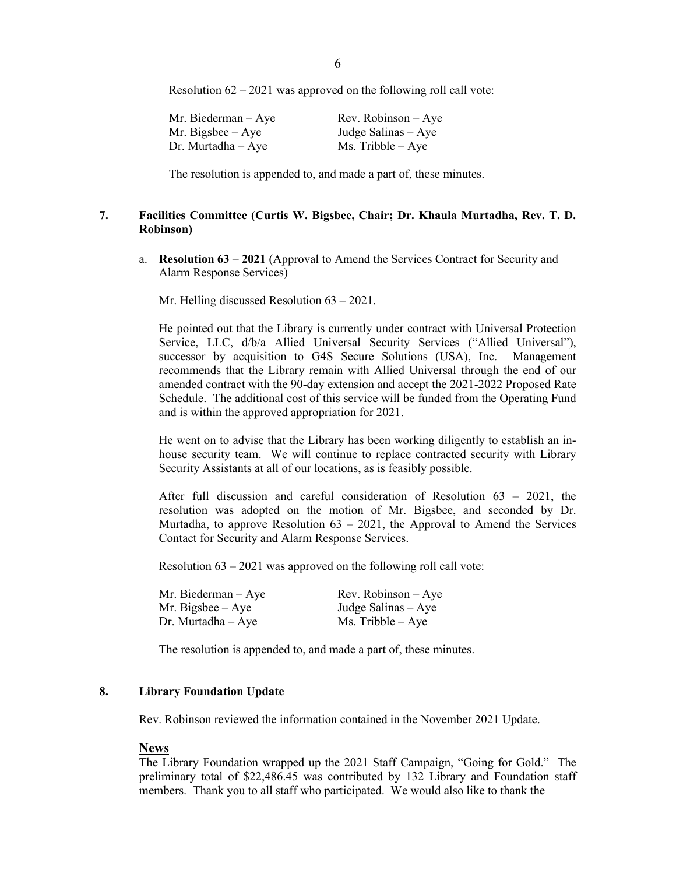Resolution 62 – 2021 was approved on the following roll call vote:

| Mr. Biederman $-$ Aye | $Rev. Robinson - Aye$ |
|-----------------------|-----------------------|
| Mr. Bigsbee $-$ Aye   | Judge Salinas – Aye   |
| Dr. Murtadha $-$ Aye  | $Ms.$ Tribble $-Aye$  |

The resolution is appended to, and made a part of, these minutes.

# **7. Facilities Committee (Curtis W. Bigsbee, Chair; Dr. Khaula Murtadha, Rev. T. D. Robinson)**

a. **Resolution 63 – 2021** (Approval to Amend the Services Contract for Security and Alarm Response Services)

Mr. Helling discussed Resolution 63 – 2021.

He pointed out that the Library is currently under contract with Universal Protection Service, LLC, d/b/a Allied Universal Security Services ("Allied Universal"), successor by acquisition to G4S Secure Solutions (USA), Inc. Management recommends that the Library remain with Allied Universal through the end of our amended contract with the 90-day extension and accept the 2021-2022 Proposed Rate Schedule. The additional cost of this service will be funded from the Operating Fund and is within the approved appropriation for 2021.

He went on to advise that the Library has been working diligently to establish an inhouse security team. We will continue to replace contracted security with Library Security Assistants at all of our locations, as is feasibly possible.

After full discussion and careful consideration of Resolution 63 – 2021, the resolution was adopted on the motion of Mr. Bigsbee, and seconded by Dr. Murtadha, to approve Resolution  $63 - 2021$ , the Approval to Amend the Services Contact for Security and Alarm Response Services.

Resolution 63 – 2021 was approved on the following roll call vote:

| Mr. Biederman – Aye | $Rev. Robinson - Aye$ |
|---------------------|-----------------------|
| Mr. Bigsbee – Aye   | Judge Salinas $-$ Aye |
| Dr. Murtadha – Aye  | $Ms.$ Tribble $-Aye$  |

The resolution is appended to, and made a part of, these minutes.

## **8. Library Foundation Update**

Rev. Robinson reviewed the information contained in the November 2021 Update.

#### **News**

The Library Foundation wrapped up the 2021 Staff Campaign, "Going for Gold." The preliminary total of \$22,486.45 was contributed by 132 Library and Foundation staff members. Thank you to all staff who participated. We would also like to thank the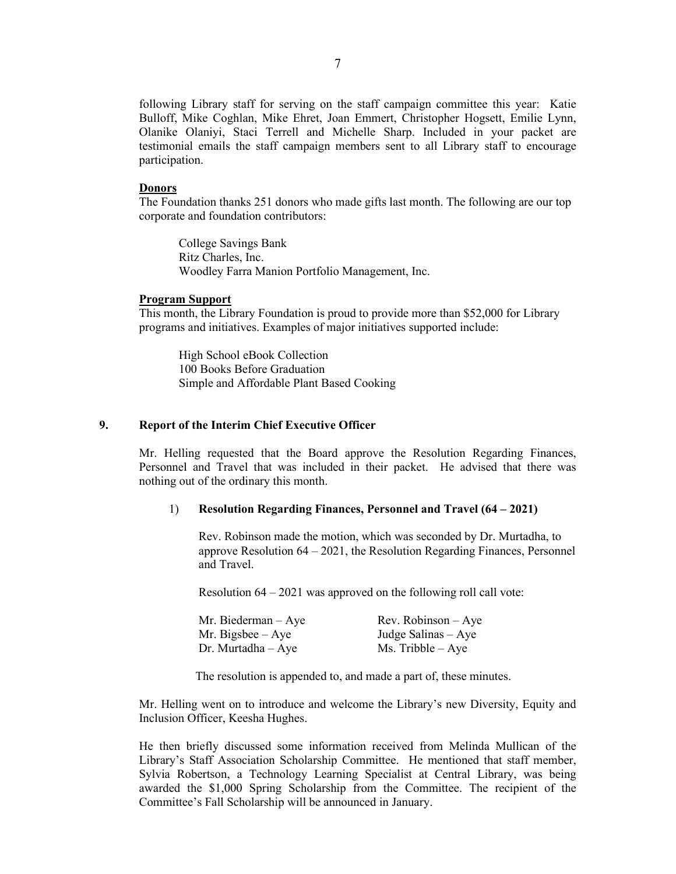following Library staff for serving on the staff campaign committee this year: Katie Bulloff, Mike Coghlan, Mike Ehret, Joan Emmert, Christopher Hogsett, Emilie Lynn, Olanike Olaniyi, Staci Terrell and Michelle Sharp. Included in your packet are testimonial emails the staff campaign members sent to all Library staff to encourage participation.

#### **Donors**

The Foundation thanks 251 donors who made gifts last month. The following are our top corporate and foundation contributors:

College Savings Bank Ritz Charles, Inc. Woodley Farra Manion Portfolio Management, Inc.

### **Program Support**

This month, the Library Foundation is proud to provide more than \$52,000 for Library programs and initiatives. Examples of major initiatives supported include:

High School eBook Collection 100 Books Before Graduation Simple and Affordable Plant Based Cooking

# **9. Report of the Interim Chief Executive Officer**

Mr. Helling requested that the Board approve the Resolution Regarding Finances, Personnel and Travel that was included in their packet. He advised that there was nothing out of the ordinary this month.

## 1) **Resolution Regarding Finances, Personnel and Travel (64 – 2021)**

Rev. Robinson made the motion, which was seconded by Dr. Murtadha, to approve Resolution 64 – 2021, the Resolution Regarding Finances, Personnel and Travel.

Resolution 64 – 2021 was approved on the following roll call vote:

| Mr. Biederman $-$ Aye  | $Rev. Robinson - Ave$ |
|------------------------|-----------------------|
| Mr. Bigsbee $-$ Aye    | Judge Salinas $-$ Aye |
| $Dr.$ Murtadha $-$ Aye | $Ms.$ Tribble $-$ Aye |

The resolution is appended to, and made a part of, these minutes.

Mr. Helling went on to introduce and welcome the Library's new Diversity, Equity and Inclusion Officer, Keesha Hughes.

He then briefly discussed some information received from Melinda Mullican of the Library's Staff Association Scholarship Committee. He mentioned that staff member, Sylvia Robertson, a Technology Learning Specialist at Central Library, was being awarded the \$1,000 Spring Scholarship from the Committee. The recipient of the Committee's Fall Scholarship will be announced in January.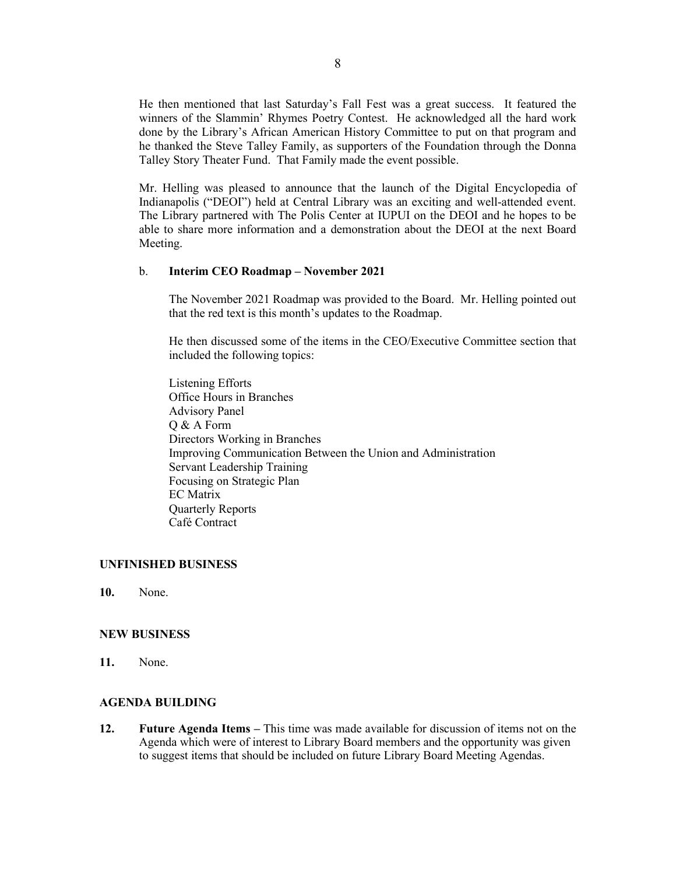He then mentioned that last Saturday's Fall Fest was a great success. It featured the winners of the Slammin' Rhymes Poetry Contest. He acknowledged all the hard work done by the Library's African American History Committee to put on that program and he thanked the Steve Talley Family, as supporters of the Foundation through the Donna Talley Story Theater Fund. That Family made the event possible.

Mr. Helling was pleased to announce that the launch of the Digital Encyclopedia of Indianapolis ("DEOI") held at Central Library was an exciting and well-attended event. The Library partnered with The Polis Center at IUPUI on the DEOI and he hopes to be able to share more information and a demonstration about the DEOI at the next Board Meeting.

#### b. **Interim CEO Roadmap – November 2021**

The November 2021 Roadmap was provided to the Board. Mr. Helling pointed out that the red text is this month's updates to the Roadmap.

He then discussed some of the items in the CEO/Executive Committee section that included the following topics:

Listening Efforts Office Hours in Branches Advisory Panel Q & A Form Directors Working in Branches Improving Communication Between the Union and Administration Servant Leadership Training Focusing on Strategic Plan EC Matrix Quarterly Reports Café Contract

## **UNFINISHED BUSINESS**

**10.** None.

#### **NEW BUSINESS**

**11.** None.

#### **AGENDA BUILDING**

**12. Future Agenda Items –** This time was made available for discussion of items not on the Agenda which were of interest to Library Board members and the opportunity was given to suggest items that should be included on future Library Board Meeting Agendas.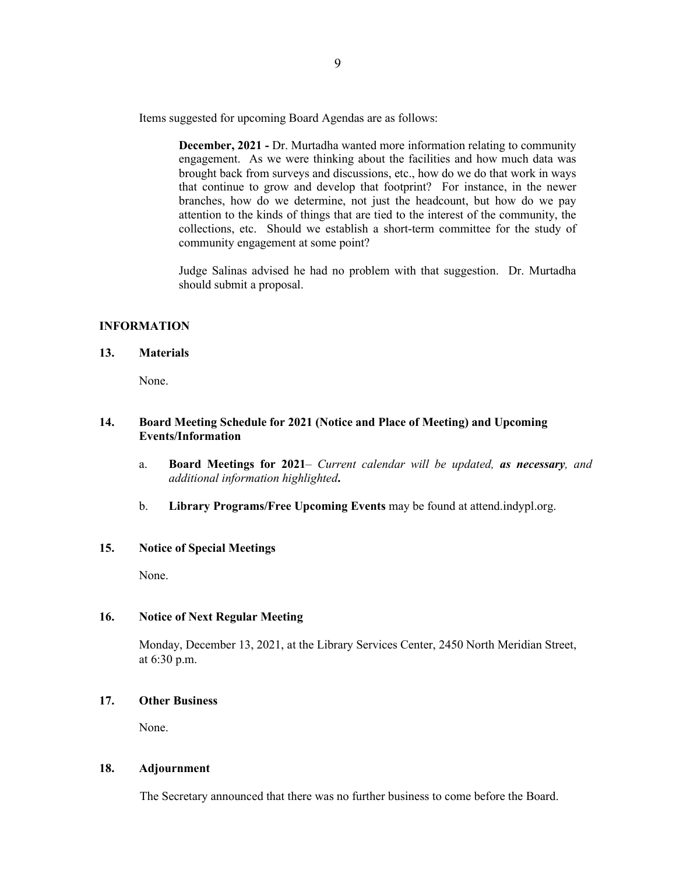Items suggested for upcoming Board Agendas are as follows:

**December, 2021 -** Dr. Murtadha wanted more information relating to community engagement. As we were thinking about the facilities and how much data was brought back from surveys and discussions, etc., how do we do that work in ways that continue to grow and develop that footprint? For instance, in the newer branches, how do we determine, not just the headcount, but how do we pay attention to the kinds of things that are tied to the interest of the community, the collections, etc. Should we establish a short-term committee for the study of community engagement at some point?

Judge Salinas advised he had no problem with that suggestion. Dr. Murtadha should submit a proposal.

### **INFORMATION**

**13. Materials** 

None.

## **14. Board Meeting Schedule for 2021 (Notice and Place of Meeting) and Upcoming Events/Information**

- a. **Board Meetings for 2021***– Current calendar will be updated, as necessary, and additional information highlighted***.**
- b. **Library Programs/Free Upcoming Events** may be found at attend.indypl.org.

# **15. Notice of Special Meetings**

None.

### **16. Notice of Next Regular Meeting**

Monday, December 13, 2021, at the Library Services Center, 2450 North Meridian Street, at 6:30 p.m.

# **17. Other Business**

None.

## **18. Adjournment**

The Secretary announced that there was no further business to come before the Board.